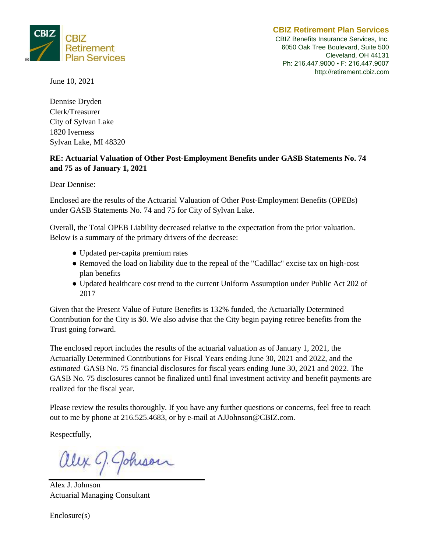

CBIZ Benefits Insurance Services, Inc. 6050 Oak Tree Boulevard, Suite 500 Cleveland, OH 44131 Ph: 216.447.9000 ▪ F: 216.447.9007 http://retirement.cbiz.com

June 10, 2021

Dennise Dryden Clerk/Treasurer City of Sylvan Lake 1820 Iverness Sylvan Lake, MI 48320

#### **RE: Actuarial Valuation of Other Post-Employment Benefits under GASB Statements No. 74 and 75 as of January 1, 2021**

Dear Dennise:

Enclosed are the results of the Actuarial Valuation of Other Post-Employment Benefits (OPEBs) under GASB Statements No. 74 and 75 for City of Sylvan Lake.

Overall, the Total OPEB Liability decreased relative to the expectation from the prior valuation. Below is a summary of the primary drivers of the decrease:

- Updated per-capita premium rates
- Removed the load on liability due to the repeal of the "Cadillac" excise tax on high-cost plan benefits
- Updated healthcare cost trend to the current Uniform Assumption under Public Act 202 of 2017

Given that the Present Value of Future Benefits is 132% funded, the Actuarially Determined Contribution for the City is \$0. We also advise that the City begin paying retiree benefits from the Trust going forward.

The enclosed report includes the results of the actuarial valuation as of January 1, 2021, the Actuarially Determined Contributions for Fiscal Years ending June 30, 2021 and 2022, and the *estimated* GASB No. 75 financial disclosures for fiscal years ending June 30, 2021 and 2022. The GASB No. 75 disclosures cannot be finalized until final investment activity and benefit payments are realized for the fiscal year.

Please review the results thoroughly. If you have any further questions or concerns, feel free to reach out to me by phone at 216.525.4683, or by e-mail at AJJohnson@CBIZ.com.

Respectfully,

Johison

Alex J. Johnson Actuarial Managing Consultant

Enclosure(s)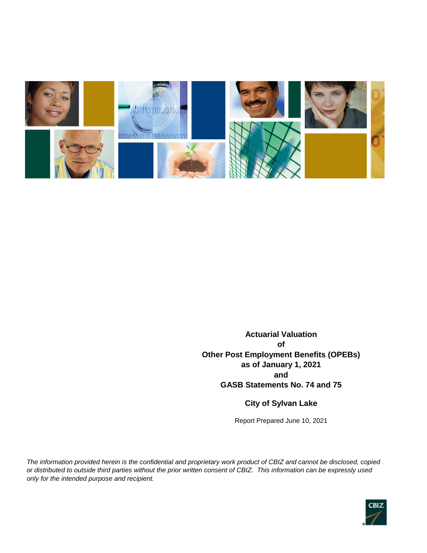

**Actuarial Valuation of Other Post Employment Benefits (OPEBs) as of January 1, 2021 and GASB Statements No. 74 and 75**

#### **City of Sylvan Lake**

Report Prepared June 10, 2021

*The information provided herein is the confidential and proprietary work product of CBIZ and cannot be disclosed, copied or distributed to outside third parties without the prior written consent of CBIZ. This information can be expressly used only for the intended purpose and recipient.*

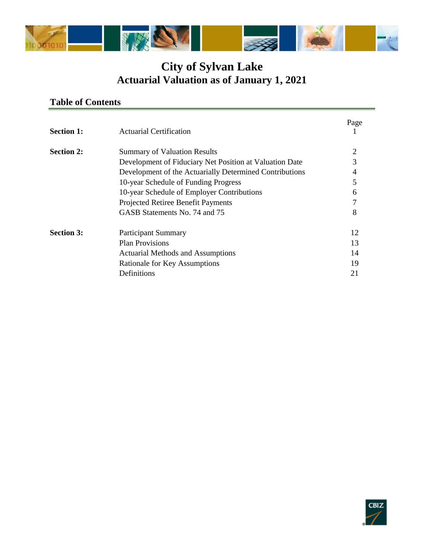

### **Table of Contents**

| <b>Section 1:</b> | <b>Actuarial Certification</b>                          | Page           |
|-------------------|---------------------------------------------------------|----------------|
| <b>Section 2:</b> | <b>Summary of Valuation Results</b>                     | $\overline{2}$ |
|                   | Development of Fiduciary Net Position at Valuation Date | 3              |
|                   | Development of the Actuarially Determined Contributions | 4              |
|                   | 10-year Schedule of Funding Progress                    | 5              |
|                   | 10-year Schedule of Employer Contributions              | 6              |
|                   | Projected Retiree Benefit Payments                      |                |
|                   | GASB Statements No. 74 and 75                           | 8              |
| <b>Section 3:</b> | <b>Participant Summary</b>                              | 12             |
|                   | <b>Plan Provisions</b>                                  | 13             |
|                   | <b>Actuarial Methods and Assumptions</b>                | 14             |
|                   | Rationale for Key Assumptions                           | 19             |
|                   | Definitions                                             | 21             |

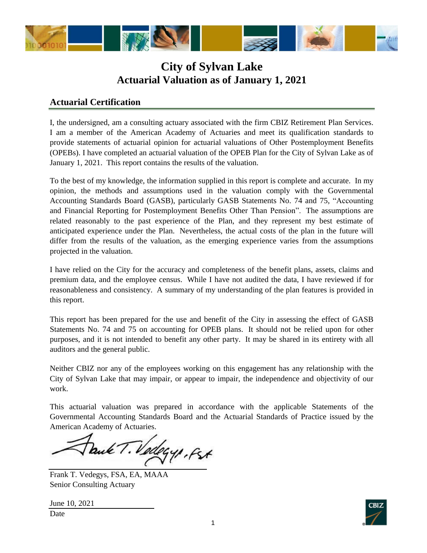

#### **Actuarial Certification**

I, the undersigned, am a consulting actuary associated with the firm CBIZ Retirement Plan Services. I am a member of the American Academy of Actuaries and meet its qualification standards to provide statements of actuarial opinion for actuarial valuations of Other Postemployment Benefits (OPEBs). I have completed an actuarial valuation of the OPEB Plan for the City of Sylvan Lake as of January 1, 2021. This report contains the results of the valuation.

To the best of my knowledge, the information supplied in this report is complete and accurate. In my opinion, the methods and assumptions used in the valuation comply with the Governmental Accounting Standards Board (GASB), particularly GASB Statements No. 74 and 75, "Accounting and Financial Reporting for Postemployment Benefits Other Than Pension". The assumptions are related reasonably to the past experience of the Plan, and they represent my best estimate of anticipated experience under the Plan. Nevertheless, the actual costs of the plan in the future will differ from the results of the valuation, as the emerging experience varies from the assumptions projected in the valuation.

I have relied on the City for the accuracy and completeness of the benefit plans, assets, claims and premium data, and the employee census. While I have not audited the data, I have reviewed if for reasonableness and consistency. A summary of my understanding of the plan features is provided in this report.

This report has been prepared for the use and benefit of the City in assessing the effect of GASB Statements No. 74 and 75 on accounting for OPEB plans. It should not be relied upon for other purposes, and it is not intended to benefit any other party. It may be shared in its entirety with all auditors and the general public.

Neither CBIZ nor any of the employees working on this engagement has any relationship with the City of Sylvan Lake that may impair, or appear to impair, the independence and objectivity of our work.

This actuarial valuation was prepared in accordance with the applicable Statements of the Governmental Accounting Standards Board and the Actuarial Standards of Practice issued by the American Academy of Actuaries.

Paule T. Vedegy, fst

Frank T. Vedegys, FSA, EA, MAAA Senior Consulting Actuary

June 10, 2021

Date

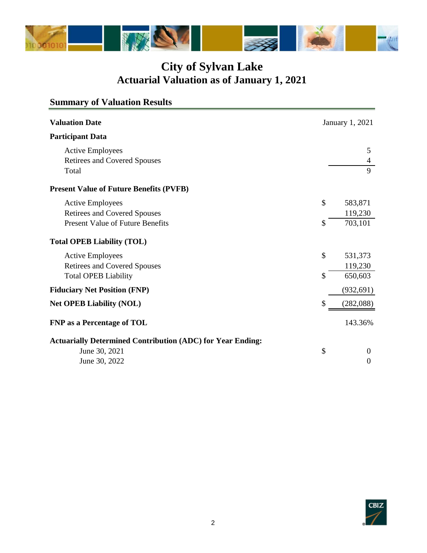

| <b>Summary of Valuation Results</b>                               |    |                        |
|-------------------------------------------------------------------|----|------------------------|
| <b>Valuation Date</b>                                             |    | <b>January 1, 2021</b> |
| <b>Participant Data</b>                                           |    |                        |
| <b>Active Employees</b>                                           |    | 5                      |
| <b>Retirees and Covered Spouses</b>                               |    | 4                      |
| Total                                                             |    | 9                      |
| <b>Present Value of Future Benefits (PVFB)</b>                    |    |                        |
| <b>Active Employees</b>                                           | \$ | 583,871                |
| <b>Retirees and Covered Spouses</b>                               |    | 119,230                |
| <b>Present Value of Future Benefits</b>                           | S  | 703,101                |
| <b>Total OPEB Liability (TOL)</b>                                 |    |                        |
| <b>Active Employees</b>                                           | \$ | 531,373                |
| <b>Retirees and Covered Spouses</b>                               |    | 119,230                |
| <b>Total OPEB Liability</b>                                       | \$ | 650,603                |
| <b>Fiduciary Net Position (FNP)</b>                               |    | (932, 691)             |
| <b>Net OPEB Liability (NOL)</b>                                   | \$ | (282,088)              |
| <b>FNP</b> as a Percentage of TOL                                 |    | 143.36%                |
| <b>Actuarially Determined Contribution (ADC) for Year Ending:</b> |    |                        |
| June 30, 2021                                                     | \$ | $\theta$               |
| June 30, 2022                                                     |    | $\Omega$               |
|                                                                   |    |                        |

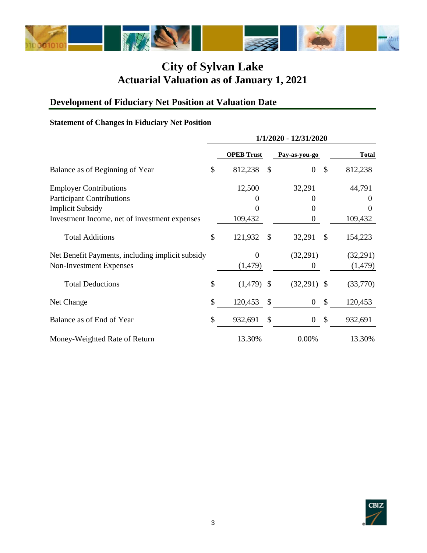

# **Development of Fiduciary Net Position at Valuation Date**

#### **Statement of Changes in Fiduciary Net Position**

|                                                  | 1/1/2020 - 12/31/2020 |                   |               |                |               |              |
|--------------------------------------------------|-----------------------|-------------------|---------------|----------------|---------------|--------------|
|                                                  |                       | <b>OPEB Trust</b> |               | Pay-as-you-go  |               | <b>Total</b> |
| Balance as of Beginning of Year                  | \$                    | 812,238           | \$            | $\overline{0}$ | \$            | 812,238      |
| <b>Employer Contributions</b>                    |                       | 12,500            |               | 32,291         |               | 44,791       |
| <b>Participant Contributions</b>                 |                       |                   |               | 0              |               | 0            |
| <b>Implicit Subsidy</b>                          |                       |                   |               | 0              |               | 0            |
| Investment Income, net of investment expenses    |                       | 109,432           |               | 0              |               | 109,432      |
| <b>Total Additions</b>                           | \$                    | 121,932           | \$            | 32,291         | $\mathcal{S}$ | 154,223      |
| Net Benefit Payments, including implicit subsidy |                       | $\Omega$          |               | (32,291)       |               | (32,291)     |
| Non-Investment Expenses                          |                       | (1,479)           |               | 0              |               | (1, 479)     |
| <b>Total Deductions</b>                          | \$                    | $(1,479)$ \$      |               | $(32,291)$ \$  |               | (33,770)     |
| Net Change                                       | \$                    | 120,453           | $\mathcal{S}$ | $\mathbf{0}$   | $\mathcal{S}$ | 120,453      |
| Balance as of End of Year                        | \$                    | 932,691           | \$            | 0              | \$            | 932,691      |
| Money-Weighted Rate of Return                    |                       | 13.30%            |               | 0.00%          |               | 13.30%       |

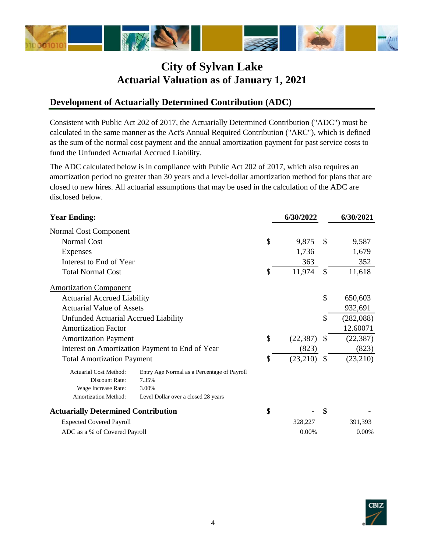

#### **Development of Actuarially Determined Contribution (ADC)**

Consistent with Public Act 202 of 2017, the Actuarially Determined Contribution ("ADC") must be calculated in the same manner as the Act's Annual Required Contribution ("ARC"), which is defined as the sum of the normal cost payment and the annual amortization payment for past service costs to fund the Unfunded Actuarial Accrued Liability.

The ADC calculated below is in compliance with Public Act 202 of 2017, which also requires an amortization period no greater than 30 years and a level-dollar amortization method for plans that are closed to new hires. All actuarial assumptions that may be used in the calculation of the ADC are disclosed below.

| <b>Year Ending:</b>                         |                                                 | 6/30/2022       |               | 6/30/2021 |
|---------------------------------------------|-------------------------------------------------|-----------------|---------------|-----------|
| <b>Normal Cost Component</b>                |                                                 |                 |               |           |
| <b>Normal Cost</b>                          |                                                 | \$<br>9,875     | \$.           | 9,587     |
| Expenses                                    |                                                 | 1,736           |               | 1,679     |
| Interest to End of Year                     |                                                 | 363             |               | 352       |
| <b>Total Normal Cost</b>                    |                                                 | \$<br>11,974    | \$.           | 11,618    |
| <b>Amortization Component</b>               |                                                 |                 |               |           |
| <b>Actuarial Accrued Liability</b>          |                                                 |                 | \$            | 650,603   |
| <b>Actuarial Value of Assets</b>            |                                                 |                 |               | 932,691   |
| <b>Unfunded Actuarial Accrued Liability</b> |                                                 |                 | \$            | (282,088) |
| <b>Amortization Factor</b>                  |                                                 |                 |               | 12.60071  |
| <b>Amortization Payment</b>                 |                                                 | \$<br>(22, 387) |               | (22, 387) |
|                                             | Interest on Amortization Payment to End of Year | (823)           |               | (823)     |
| <b>Total Amortization Payment</b>           |                                                 | \$<br>(23,210)  | <sup>\$</sup> | (23,210)  |
| <b>Actuarial Cost Method:</b>               | Entry Age Normal as a Percentage of Payroll     |                 |               |           |
| Discount Rate:                              | 7.35%                                           |                 |               |           |
| Wage Increase Rate:                         | 3.00%                                           |                 |               |           |
| Amortization Method:                        | Level Dollar over a closed 28 years             |                 |               |           |
| <b>Actuarially Determined Contribution</b>  |                                                 | \$              | \$            |           |
| <b>Expected Covered Payroll</b>             |                                                 | 328,227         |               | 391,393   |
| ADC as a % of Covered Payroll               |                                                 | 0.00%           |               | $0.00\%$  |

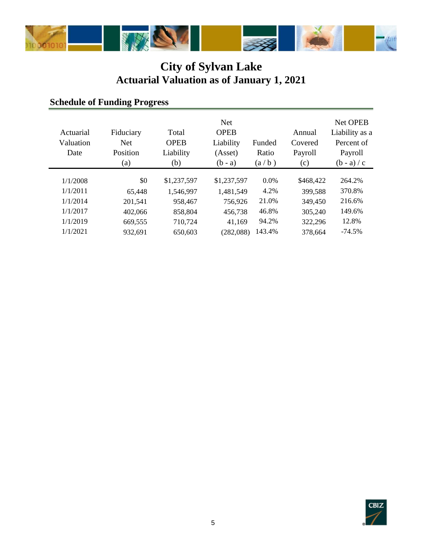

## **Schedule of Funding Progress**

| Actuarial<br>Valuation<br>Date | Fiduciary<br><b>Net</b><br>Position<br>(a) | Total<br><b>OPEB</b><br>Liability<br>(b) | <b>Net</b><br><b>OPEB</b><br>Liability<br>(Asset)<br>$(b - a)$ | Funded<br>Ratio<br>(a/b) | Annual<br>Covered<br>Payroll<br>(c) | <b>Net OPEB</b><br>Liability as a<br>Percent of<br>Payroll<br>$(b - a) / c$ |
|--------------------------------|--------------------------------------------|------------------------------------------|----------------------------------------------------------------|--------------------------|-------------------------------------|-----------------------------------------------------------------------------|
| 1/1/2008                       | \$0                                        | \$1,237,597                              | \$1,237,597                                                    | $0.0\%$                  | \$468,422                           | 264.2%                                                                      |
| 1/1/2011                       | 65.448                                     | 1,546,997                                | 1,481,549                                                      | 4.2%                     | 399,588                             | 370.8%                                                                      |
| 1/1/2014                       | 201,541                                    | 958,467                                  | 756,926                                                        | 21.0%                    | 349,450                             | 216.6%                                                                      |
| 1/1/2017                       | 402,066                                    | 858,804                                  | 456,738                                                        | 46.8%                    | 305,240                             | 149.6%                                                                      |
| 1/1/2019                       | 669,555                                    | 710,724                                  | 41,169                                                         | 94.2%                    | 322,296                             | 12.8%                                                                       |
| 1/1/2021                       | 932,691                                    | 650,603                                  | (282,088)                                                      | 143.4%                   | 378,664                             | $-74.5%$                                                                    |

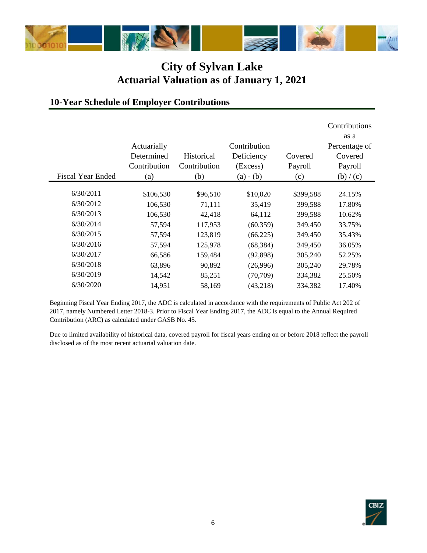

#### **10-Year Schedule of Employer Contributions**

|                          |              |                   |              |           | Contributions |
|--------------------------|--------------|-------------------|--------------|-----------|---------------|
|                          |              |                   |              |           | as a          |
|                          | Actuarially  |                   | Contribution |           | Percentage of |
|                          | Determined   | <b>Historical</b> | Deficiency   | Covered   | Covered       |
|                          | Contribution | Contribution      | (Excess)     | Payroll   | Payroll       |
| <b>Fiscal Year Ended</b> | (a)          | (b)               | $(a) - (b)$  | (c)       | (b)/(c)       |
|                          |              |                   |              |           |               |
| 6/30/2011                | \$106,530    | \$96,510          | \$10,020     | \$399,588 | 24.15%        |
| 6/30/2012                | 106,530      | 71,111            | 35,419       | 399,588   | 17.80%        |
| 6/30/2013                | 106,530      | 42,418            | 64,112       | 399,588   | 10.62%        |
| 6/30/2014                | 57,594       | 117,953           | (60, 359)    | 349,450   | 33.75%        |
| 6/30/2015                | 57,594       | 123,819           | (66, 225)    | 349,450   | 35.43%        |
| 6/30/2016                | 57,594       | 125,978           | (68, 384)    | 349,450   | 36.05%        |
| 6/30/2017                | 66,586       | 159,484           | (92,898)     | 305,240   | 52.25%        |
| 6/30/2018                | 63,896       | 90,892            | (26,996)     | 305,240   | 29.78%        |
| 6/30/2019                | 14,542       | 85,251            | (70, 709)    | 334,382   | 25.50%        |
| 6/30/2020                | 14,951       | 58,169            | (43,218)     | 334,382   | 17.40%        |

Beginning Fiscal Year Ending 2017, the ADC is calculated in accordance with the requirements of Public Act 202 of 2017, namely Numbered Letter 2018-3. Prior to Fiscal Year Ending 2017, the ADC is equal to the Annual Required Contribution (ARC) as calculated under GASB No. 45.

Due to limited availability of historical data, covered payroll for fiscal years ending on or before 2018 reflect the payroll disclosed as of the most recent actuarial valuation date.

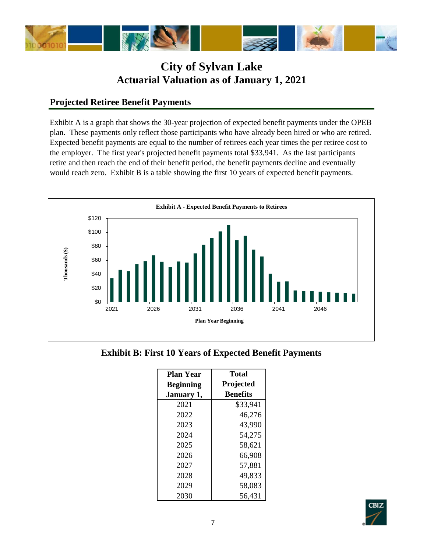

#### **Projected Retiree Benefit Payments**

Exhibit A is a graph that shows the 30-year projection of expected benefit payments under the OPEB plan. These payments only reflect those participants who have already been hired or who are retired. Expected benefit payments are equal to the number of retirees each year times the per retiree cost to the employer. The first year's projected benefit payments total \$33,941. As the last participants retire and then reach the end of their benefit period, the benefit payments decline and eventually would reach zero. Exhibit B is a table showing the first 10 years of expected benefit payments.



**Exhibit B: First 10 Years of Expected Benefit Payments**

| <b>Plan Year</b> | <b>Total</b>    |
|------------------|-----------------|
| <b>Beginning</b> | Projected       |
| January 1,       | <b>Benefits</b> |
| 2021             | \$33,941        |
| 2022             | 46,276          |
| 2023             | 43,990          |
| 2024             | 54,275          |
| 2025             | 58,621          |
| 2026             | 66,908          |
| 2027             | 57,881          |
| 2028             | 49,833          |
| 2029             | 58,083          |
| 2030             | 56,431          |

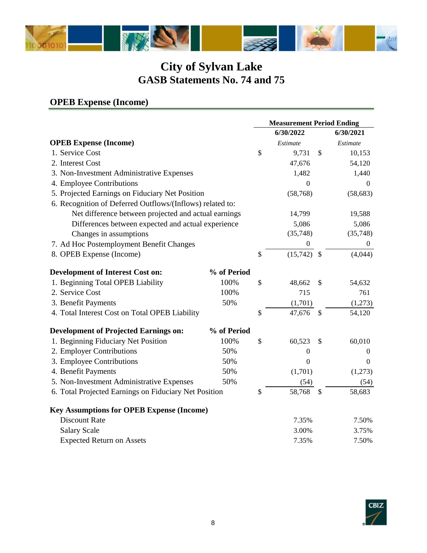

## **OPEB Expense (Income)**

|                                                           |             | <b>Measurement Period Ending</b> |                  |                           |                  |
|-----------------------------------------------------------|-------------|----------------------------------|------------------|---------------------------|------------------|
|                                                           |             |                                  | 6/30/2022        |                           | 6/30/2021        |
| <b>OPEB Expense (Income)</b>                              |             |                                  | Estimate         |                           | Estimate         |
| 1. Service Cost                                           |             | \$                               | 9,731            | \$                        | 10,153           |
| 2. Interest Cost                                          |             |                                  | 47,676           |                           | 54,120           |
| 3. Non-Investment Administrative Expenses                 |             |                                  | 1,482            |                           | 1,440            |
| 4. Employee Contributions                                 |             |                                  | 0                |                           | $\Omega$         |
| 5. Projected Earnings on Fiduciary Net Position           |             |                                  | (58, 768)        |                           | (58, 683)        |
| 6. Recognition of Deferred Outflows/(Inflows) related to: |             |                                  |                  |                           |                  |
| Net difference between projected and actual earnings      |             |                                  | 14,799           |                           | 19,588           |
| Differences between expected and actual experience        |             |                                  | 5,086            |                           | 5,086            |
| Changes in assumptions                                    |             |                                  | (35,748)         |                           | (35,748)         |
| 7. Ad Hoc Postemployment Benefit Changes                  |             |                                  | $\boldsymbol{0}$ |                           | $\theta$         |
| 8. OPEB Expense (Income)                                  |             | \$                               | (15,742)         | $\mathcal{S}$             | (4,044)          |
| <b>Development of Interest Cost on:</b>                   | % of Period |                                  |                  |                           |                  |
| 1. Beginning Total OPEB Liability                         | 100%        | \$                               | 48,662           | \$                        | 54,632           |
| 2. Service Cost                                           | 100%        |                                  | 715              |                           | 761              |
| 3. Benefit Payments                                       | 50%         |                                  | (1,701)          |                           | (1,273)          |
| 4. Total Interest Cost on Total OPEB Liability            |             | \$                               | 47,676           | $\boldsymbol{\mathsf{S}}$ | 54,120           |
| <b>Development of Projected Earnings on:</b>              | % of Period |                                  |                  |                           |                  |
| 1. Beginning Fiduciary Net Position                       | 100%        | \$                               | 60,523           | \$                        | 60,010           |
| 2. Employer Contributions                                 | 50%         |                                  | 0                |                           | 0                |
| 3. Employee Contributions                                 | 50%         |                                  | $\boldsymbol{0}$ |                           | $\boldsymbol{0}$ |
| 4. Benefit Payments                                       | 50%         |                                  | (1,701)          |                           | (1,273)          |
| 5. Non-Investment Administrative Expenses                 | 50%         |                                  | (54)             |                           | (54)             |
| 6. Total Projected Earnings on Fiduciary Net Position     |             | \$                               | 58,768           | \$                        | 58,683           |
| <b>Key Assumptions for OPEB Expense (Income)</b>          |             |                                  |                  |                           |                  |
| <b>Discount Rate</b>                                      |             |                                  | 7.35%            |                           | 7.50%            |
| <b>Salary Scale</b>                                       |             |                                  | 3.00%            |                           | 3.75%            |
| <b>Expected Return on Assets</b>                          |             |                                  | 7.35%            |                           | 7.50%            |

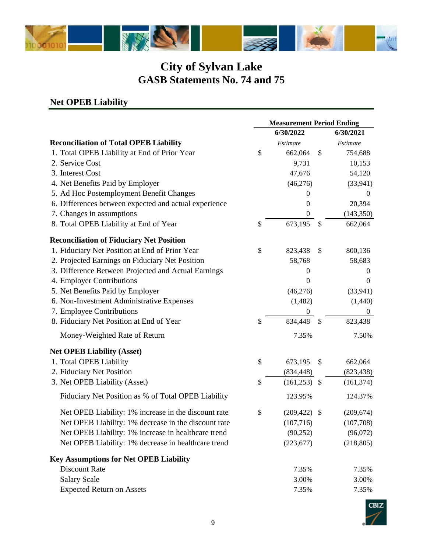

### **Net OPEB Liability**

|                                                       | <b>Measurement Period Ending</b> |                  |                           |                  |
|-------------------------------------------------------|----------------------------------|------------------|---------------------------|------------------|
|                                                       |                                  | 6/30/2022        |                           | 6/30/2021        |
| <b>Reconciliation of Total OPEB Liability</b>         |                                  | Estimate         |                           | Estimate         |
| 1. Total OPEB Liability at End of Prior Year          | \$                               | 662,064          | \$                        | 754,688          |
| 2. Service Cost                                       |                                  | 9,731            |                           | 10,153           |
| 3. Interest Cost                                      |                                  | 47,676           |                           | 54,120           |
| 4. Net Benefits Paid by Employer                      |                                  | (46,276)         |                           | (33, 941)        |
| 5. Ad Hoc Postemployment Benefit Changes              |                                  | $\overline{0}$   |                           | $\overline{0}$   |
| 6. Differences between expected and actual experience |                                  | $\overline{0}$   |                           | 20,394           |
| 7. Changes in assumptions                             |                                  | $\boldsymbol{0}$ |                           | (143, 350)       |
| 8. Total OPEB Liability at End of Year                | \$                               | 673,195          | <sup>\$</sup>             | 662,064          |
| <b>Reconciliation of Fiduciary Net Position</b>       |                                  |                  |                           |                  |
| 1. Fiduciary Net Position at End of Prior Year        | \$                               | 823,438          | \$                        | 800,136          |
| 2. Projected Earnings on Fiduciary Net Position       |                                  | 58,768           |                           | 58,683           |
| 3. Difference Between Projected and Actual Earnings   |                                  | $\Omega$         |                           | $\theta$         |
| 4. Employer Contributions                             |                                  | $\theta$         |                           | $\overline{0}$   |
| 5. Net Benefits Paid by Employer                      |                                  | (46,276)         |                           | (33, 941)        |
| 6. Non-Investment Administrative Expenses             |                                  | (1, 482)         |                           | (1,440)          |
| 7. Employee Contributions                             |                                  | $\boldsymbol{0}$ |                           | $\boldsymbol{0}$ |
| 8. Fiduciary Net Position at End of Year              | \$                               | 834,448          | \$                        | 823,438          |
| Money-Weighted Rate of Return                         |                                  | 7.35%            |                           | 7.50%            |
| <b>Net OPEB Liability (Asset)</b>                     |                                  |                  |                           |                  |
| 1. Total OPEB Liability                               | \$                               | 673,195          | $\boldsymbol{\mathsf{S}}$ | 662,064          |
| 2. Fiduciary Net Position                             |                                  | (834, 448)       |                           | (823, 438)       |
| 3. Net OPEB Liability (Asset)                         | \$                               | (161, 253)       | $\boldsymbol{\mathsf{S}}$ | (161, 374)       |
| Fiduciary Net Position as % of Total OPEB Liability   |                                  | 123.95%          |                           | 124.37%          |
| Net OPEB Liability: 1% increase in the discount rate  | \$                               | (209, 422)       | $\mathcal{S}$             | (209, 674)       |
| Net OPEB Liability: 1% decrease in the discount rate  |                                  | (107, 716)       |                           | (107,708)        |
| Net OPEB Liability: 1% increase in healthcare trend   |                                  | (90, 252)        |                           | (96,072)         |
| Net OPEB Liability: 1% decrease in healthcare trend   |                                  | (223, 677)       |                           | (218, 805)       |
| <b>Key Assumptions for Net OPEB Liability</b>         |                                  |                  |                           |                  |
| <b>Discount Rate</b>                                  |                                  | 7.35%            |                           | 7.35%            |
| <b>Salary Scale</b>                                   |                                  | 3.00%            |                           | 3.00%            |
| <b>Expected Return on Assets</b>                      |                                  | 7.35%            |                           | 7.35%            |

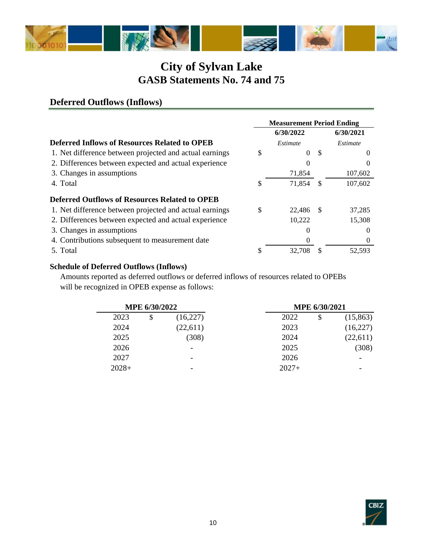

#### **6/30/2022 6/30/2021 Deferred Inflows of Resources Related to OPEB** *Estimate Estimate* 1. Net difference between projected and actual earnings  $\qquad \qquad$  \$ 0 \$ 0 2. Differences between expected and actual experience 0 0 3. Changes in assumptions 71,854 107,602 4. Total \$ 71,854 \$ 107,602 **Deferred Outflows of Resources Related to OPEB** 1. Net difference between projected and actual earnings  $$22,486$  \$ 37,285 2. Differences between expected and actual experience 10,222 15,308 3. Changes in assumptions 0 0 4. Contributions subsequent to measurement date 0 0 5. Total \$ 32,708 \$ 52,593 **Measurement Period Ending**

#### **Schedule of Deferred Outflows (Inflows)**

**Deferred Outflows (Inflows)**

Amounts reported as deferred outflows or deferred inflows of resources related to OPEBs will be recognized in OPEB expense as follows:

|         | <b>MPE 6/30/2022</b> |                          |  |         |    | MPE 6/30/2021 |
|---------|----------------------|--------------------------|--|---------|----|---------------|
| 2023    | \$                   | (16,227)                 |  | 2022    | \$ | (15,863)      |
| 2024    |                      | (22,611)                 |  | 2023    |    | (16,227)      |
| 2025    |                      | (308)                    |  | 2024    |    | (22,611)      |
| 2026    |                      | $\overline{\phantom{0}}$ |  | 2025    |    | (308)         |
| 2027    |                      | $\overline{\phantom{0}}$ |  | 2026    |    |               |
| $2028+$ |                      | $\overline{\phantom{0}}$ |  | $2027+$ |    |               |

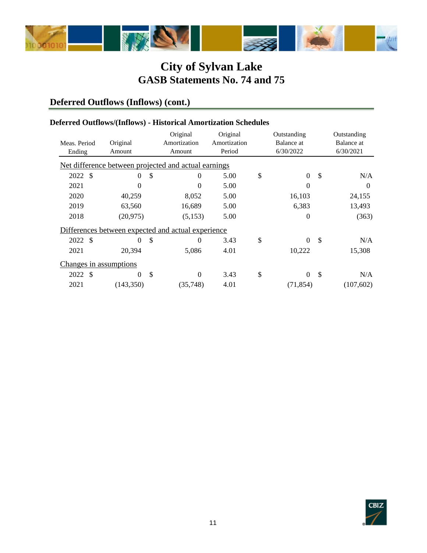

## **Deferred Outflows (Inflows) (cont.)**

#### **Deferred Outflows/(Inflows) - Historical Amortization Schedules**

|                        |           |               | Original                                             | Original     | Outstanding            |               | Outstanding |
|------------------------|-----------|---------------|------------------------------------------------------|--------------|------------------------|---------------|-------------|
| Meas. Period           | Original  |               | Amortization                                         | Amortization | Balance at             |               | Balance at  |
| Ending                 | Amount    |               | Amount                                               | Period       | 6/30/2022              |               | 6/30/2021   |
|                        |           |               | Net difference between projected and actual earnings |              |                        |               |             |
| 2022 \$                | $\Omega$  | \$            | $\theta$                                             | 5.00         | \$<br>$\boldsymbol{0}$ | \$            | N/A         |
| 2021                   | $\Omega$  |               | $\Omega$                                             | 5.00         | 0                      |               | $\Omega$    |
| 2020                   | 40,259    |               | 8,052                                                | 5.00         | 16,103                 |               | 24,155      |
| 2019                   | 63,560    |               | 16,689                                               | 5.00         | 6,383                  |               | 13,493      |
| 2018                   | (20, 975) |               | (5,153)                                              | 5.00         | 0                      |               | (363)       |
|                        |           |               | Differences between expected and actual experience   |              |                        |               |             |
| - \$<br>2022           | $\Omega$  | \$            | $\Omega$                                             | 3.43         | \$<br>$\Omega$         | $\mathcal{S}$ | N/A         |
| 2021                   | 20,394    |               | 5,086                                                | 4.01         | 10,222                 |               | 15,308      |
| Changes in assumptions |           |               |                                                      |              |                        |               |             |
| - \$<br>2022           | $\Omega$  | $\mathcal{S}$ | $\theta$                                             | 3.43         | \$<br>$\overline{0}$   | $\mathbb{S}$  | N/A         |
| 2021                   | (143,350) |               | (35,748)                                             | 4.01         | (71, 854)              |               | (107, 602)  |

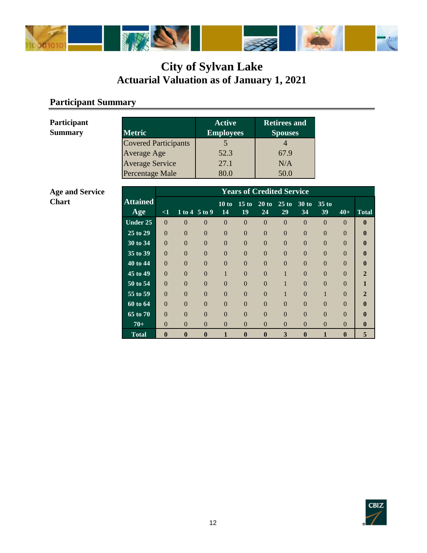

### **Participant Summary**

| <b>Metric</b>               | <b>Active</b><br><b>Employees</b> | <b>Retirees and</b><br><b>Spouses</b> |
|-----------------------------|-----------------------------------|---------------------------------------|
| <b>Covered Participants</b> |                                   |                                       |
| Average Age                 | 52.3                              | 67.9                                  |
| Average Service             | 27.1                              | N/A                                   |
| Percentage Male             |                                   | 50.0                                  |

#### **Age and Service Chart**

**Participant Summary** 

|                                    |                | <b>Years of Credited Service</b> |                            |                |                |                |                |                |                |                |              |
|------------------------------------|----------------|----------------------------------|----------------------------|----------------|----------------|----------------|----------------|----------------|----------------|----------------|--------------|
| <b>Attained</b>                    |                |                                  |                            | 10 to          | 15 to          | 20 to          | $25$ to        | $30$ to        | $35$ to        |                |              |
| Age                                | $\leq$ 1       |                                  | $1 to 4 \overline{5} to 9$ | 14             | 19             | 24             | 29             | 34             | 39             | $40+$          | <b>Total</b> |
| Under 25                           | $\Omega$       | $\theta$                         | $\overline{0}$             | $\overline{0}$ | $\overline{0}$ | $\overline{0}$ | $\overline{0}$ | $\overline{0}$ | $\overline{0}$ | $\Omega$       | $\mathbf{0}$ |
| $\overline{25}$ to $\overline{29}$ | $\Omega$       | $\Omega$                         | $\Omega$                   | $\overline{0}$ | $\overline{0}$ | $\overline{0}$ | $\overline{0}$ | $\overline{0}$ | $\Omega$       | $\Omega$       |              |
| 30 to 34                           | $\overline{0}$ | $\theta$                         | $\overline{0}$             | $\overline{0}$ | $\overline{0}$ | $\overline{0}$ | $\overline{0}$ | $\overline{0}$ | $\overline{0}$ | $\overline{0}$ |              |
| 35 to 39                           | $\Omega$       | $\Omega$                         | $\Omega$                   | $\Omega$       | $\theta$       | $\Omega$       | $\Omega$       | $\Omega$       | $\Omega$       | $\Omega$       |              |
| 40 to 44                           | $\theta$       | $\theta$                         | $\theta$                   | $\overline{0}$ | $\overline{0}$ | $\overline{0}$ | $\overline{0}$ | $\overline{0}$ | $\overline{0}$ | $\overline{0}$ |              |
| $\overline{45}$ to 49              | $\Omega$       | $\Omega$                         | $\Omega$                   |                | $\theta$       | $\Omega$       | 1              | $\theta$       | $\Omega$       | $\Omega$       |              |
| 50 to 54                           | $\theta$       | $\theta$                         | $\theta$                   | $\overline{0}$ | $\overline{0}$ | $\overline{0}$ | 1              | $\overline{0}$ | $\overline{0}$ | $\overline{0}$ |              |
| $\overline{55}$ to 59              | $\Omega$       | $\Omega$                         | $\Omega$                   | $\Omega$       | $\Omega$       | $\Omega$       | 1              | $\theta$       |                | $\Omega$       | $\mathbf{2}$ |
| 60 to 64                           | $\theta$       | $\Omega$                         | $\overline{0}$             | $\overline{0}$ | $\overline{0}$ | $\overline{0}$ | $\overline{0}$ | $\overline{0}$ | $\Omega$       | $\theta$       |              |
| $\overline{65}$ to 70              | $\Omega$       | $\Omega$                         | $\Omega$                   | $\Omega$       | $\Omega$       | $\Omega$       | $\Omega$       | $\Omega$       | $\Omega$       | $\Omega$       |              |
| $70+$                              | $\Omega$       | $\Omega$                         | $\Omega$                   | $\Omega$       | $\theta$       | $\Omega$       | $\theta$       | $\theta$       | $\theta$       | $\Omega$       | $\mathbf{0}$ |
| <b>Total</b>                       | $\mathbf{0}$   | $\bf{0}$                         | $\bf{0}$                   | 1              | $\bf{0}$       | $\bf{0}$       | 3              | $\bf{0}$       | 1              | $\bf{0}$       | 5            |

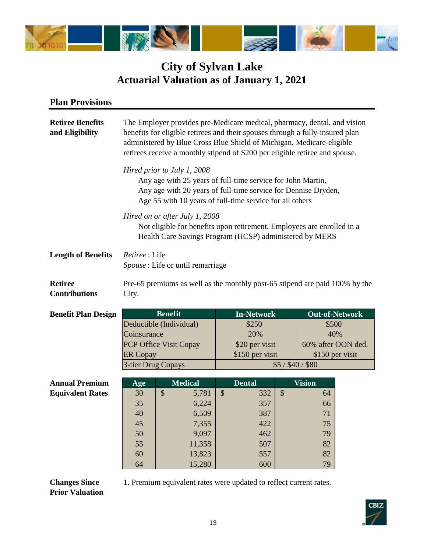

#### **Plan Provisions**

| <b>Retiree Benefits</b><br>and Eligibility | The Employer provides pre-Medicare medical, pharmacy, dental, and vision<br>benefits for eligible retirees and their spouses through a fully-insured plan<br>administered by Blue Cross Blue Shield of Michigan. Medicare-eligible<br>retirees receive a monthly stipend of \$200 per eligible retiree and spouse. |                                                                                                                                                                     |                           |                   |                           |                       |  |  |  |
|--------------------------------------------|--------------------------------------------------------------------------------------------------------------------------------------------------------------------------------------------------------------------------------------------------------------------------------------------------------------------|---------------------------------------------------------------------------------------------------------------------------------------------------------------------|---------------------------|-------------------|---------------------------|-----------------------|--|--|--|
|                                            | Hired prior to July 1, 2008<br>Any age with 25 years of full-time service for John Martin,<br>Any age with 20 years of full-time service for Dennise Dryden,<br>Age 55 with 10 years of full-time service for all others                                                                                           |                                                                                                                                                                     |                           |                   |                           |                       |  |  |  |
|                                            |                                                                                                                                                                                                                                                                                                                    | Hired on or after July 1, 2008<br>Not eligible for benefits upon retirement. Employees are enrolled in a<br>Health Care Savings Program (HCSP) administered by MERS |                           |                   |                           |                       |  |  |  |
| <b>Length of Benefits</b>                  | Retiree: Life<br>Spouse : Life or until remarriage                                                                                                                                                                                                                                                                 |                                                                                                                                                                     |                           |                   |                           |                       |  |  |  |
| <b>Retiree</b><br><b>Contributions</b>     | City.                                                                                                                                                                                                                                                                                                              | Pre-65 premiums as well as the monthly post-65 stipend are paid 100% by the                                                                                         |                           |                   |                           |                       |  |  |  |
| <b>Benefit Plan Design</b>                 |                                                                                                                                                                                                                                                                                                                    | <b>Benefit</b>                                                                                                                                                      |                           | <b>In-Network</b> |                           | <b>Out-of-Network</b> |  |  |  |
|                                            |                                                                                                                                                                                                                                                                                                                    | Deductible (Individual)                                                                                                                                             |                           | \$250             |                           | \$500                 |  |  |  |
|                                            | Coinsurance                                                                                                                                                                                                                                                                                                        |                                                                                                                                                                     |                           | 20%               |                           | 40%                   |  |  |  |
|                                            |                                                                                                                                                                                                                                                                                                                    | PCP Office Visit Copay                                                                                                                                              |                           | \$20 per visit    |                           | 60% after OON ded.    |  |  |  |
|                                            | <b>ER</b> Copay                                                                                                                                                                                                                                                                                                    |                                                                                                                                                                     |                           | \$150 per visit   |                           | \$150 per visit       |  |  |  |
|                                            | 3-tier Drug Copays                                                                                                                                                                                                                                                                                                 |                                                                                                                                                                     |                           |                   |                           | $$5/$ \$40/\$80       |  |  |  |
| <b>Annual Premium</b>                      | Age                                                                                                                                                                                                                                                                                                                | <b>Medical</b>                                                                                                                                                      |                           | <b>Dental</b>     |                           | <b>Vision</b>         |  |  |  |
| <b>Equivalent Rates</b>                    | 30                                                                                                                                                                                                                                                                                                                 | \$<br>5,781                                                                                                                                                         | $\boldsymbol{\mathsf{S}}$ | 332               | $\boldsymbol{\mathsf{S}}$ | 64                    |  |  |  |
|                                            | 35                                                                                                                                                                                                                                                                                                                 | 6,224                                                                                                                                                               |                           | 357               |                           | 66                    |  |  |  |
|                                            | 40                                                                                                                                                                                                                                                                                                                 | 6,509                                                                                                                                                               |                           | 387               |                           | 71                    |  |  |  |
|                                            | 45                                                                                                                                                                                                                                                                                                                 | 7,355                                                                                                                                                               |                           | 422               |                           | 75                    |  |  |  |
|                                            | 50                                                                                                                                                                                                                                                                                                                 | 9,097                                                                                                                                                               |                           | 462               |                           | 79                    |  |  |  |
|                                            | 55                                                                                                                                                                                                                                                                                                                 | 11,358                                                                                                                                                              |                           | 507               |                           | 82                    |  |  |  |
|                                            | 60                                                                                                                                                                                                                                                                                                                 | 13,823                                                                                                                                                              |                           | 557               |                           | 82                    |  |  |  |

**Changes Since Prior Valuation** 1. Premium equivalent rates were updated to reflect current rates.



64 15,280 600 79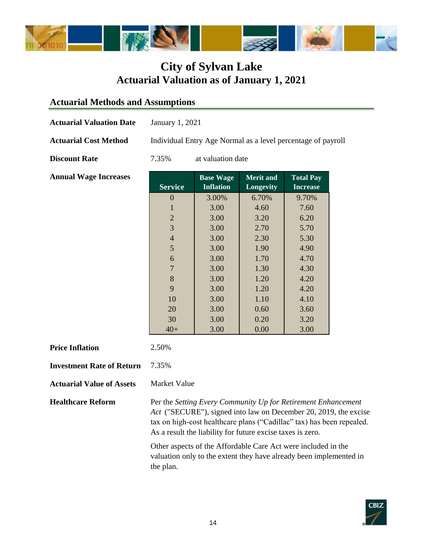

### **Actuarial Methods and Assumptions**

| <b>Actuarial Valuation Date</b>  | January 1, 2021                                                                                                                                                                                                                                                          |                                      |                               |                                     |  |  |  |
|----------------------------------|--------------------------------------------------------------------------------------------------------------------------------------------------------------------------------------------------------------------------------------------------------------------------|--------------------------------------|-------------------------------|-------------------------------------|--|--|--|
| <b>Actuarial Cost Method</b>     | Individual Entry Age Normal as a level percentage of payroll                                                                                                                                                                                                             |                                      |                               |                                     |  |  |  |
| <b>Discount Rate</b>             | at valuation date<br>7.35%                                                                                                                                                                                                                                               |                                      |                               |                                     |  |  |  |
| <b>Annual Wage Increases</b>     | <b>Service</b>                                                                                                                                                                                                                                                           | <b>Base Wage</b><br><b>Inflation</b> | <b>Merit and</b><br>Longevity | <b>Total Pay</b><br><b>Increase</b> |  |  |  |
|                                  | $\boldsymbol{0}$                                                                                                                                                                                                                                                         | 3.00%                                | 6.70%                         | 9.70%                               |  |  |  |
|                                  | $\mathbf{1}$                                                                                                                                                                                                                                                             | 3.00                                 | 4.60                          | 7.60                                |  |  |  |
|                                  | $\overline{c}$                                                                                                                                                                                                                                                           | 3.00                                 | 3.20                          | 6.20                                |  |  |  |
|                                  | 3                                                                                                                                                                                                                                                                        | 3.00                                 | 2.70                          | 5.70                                |  |  |  |
|                                  | $\overline{4}$                                                                                                                                                                                                                                                           | 3.00                                 | 2.30                          | 5.30                                |  |  |  |
|                                  | 5                                                                                                                                                                                                                                                                        | 3.00                                 | 1.90                          | 4.90                                |  |  |  |
|                                  | 6                                                                                                                                                                                                                                                                        | 3.00                                 | 1.70                          | 4.70                                |  |  |  |
|                                  | $\overline{7}$                                                                                                                                                                                                                                                           | 3.00                                 | 1.30                          | 4.30                                |  |  |  |
|                                  | 8                                                                                                                                                                                                                                                                        | 3.00                                 | 1.20                          | 4.20                                |  |  |  |
|                                  | 9                                                                                                                                                                                                                                                                        | 3.00                                 | 1.20                          | 4.20                                |  |  |  |
|                                  | 10                                                                                                                                                                                                                                                                       | 3.00                                 | 1.10                          | 4.10                                |  |  |  |
|                                  | 20                                                                                                                                                                                                                                                                       | 3.00                                 | 0.60                          | 3.60                                |  |  |  |
|                                  | 30                                                                                                                                                                                                                                                                       | 3.00                                 | 0.20                          | 3.20                                |  |  |  |
|                                  | $40+$                                                                                                                                                                                                                                                                    | 3.00                                 | 0.00                          | 3.00                                |  |  |  |
| <b>Price Inflation</b>           | 2.50%                                                                                                                                                                                                                                                                    |                                      |                               |                                     |  |  |  |
| <b>Investment Rate of Return</b> | 7.35%                                                                                                                                                                                                                                                                    |                                      |                               |                                     |  |  |  |
| <b>Actuarial Value of Assets</b> | <b>Market Value</b>                                                                                                                                                                                                                                                      |                                      |                               |                                     |  |  |  |
| <b>Healthcare Reform</b>         | Per the Setting Every Community Up for Retirement Enhancement<br>Act ("SECURE"), signed into law on December 20, 2019, the excise<br>tax on high-cost healthcare plans ("Cadillac" tax) has been repealed.<br>As a result the liability for future excise taxes is zero. |                                      |                               |                                     |  |  |  |

Other aspects of the Affordable Care Act were included in the valuation only to the extent they have already been implemented in the plan.

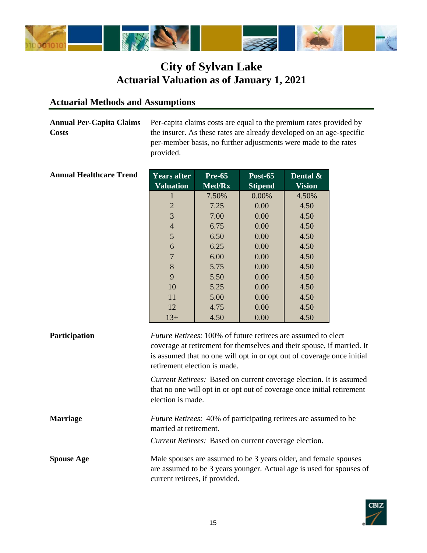

#### **Actuarial Methods and Assumptions**

**Annual Per-Capita Claims Costs**

Per-capita claims costs are equal to the premium rates provided by the insurer. As these rates are already developed on an age-specific per-member basis, no further adjustments were made to the rates provided.

| <b>Years after</b><br><b>Valuation</b> | <b>Pre-65</b><br>Med/Rx | Post-65<br><b>Stipend</b> | Dental $\&$<br><b>Vision</b> |
|----------------------------------------|-------------------------|---------------------------|------------------------------|
| 1                                      | 7.50%                   | $0.00\%$                  | 4.50%                        |
| 2                                      | 7.25                    | 0.00                      | 4.50                         |
| 3                                      | 7.00                    | 0.00                      | 4.50                         |
| $\overline{4}$                         | 6.75                    | 0.00                      | 4.50                         |
| 5                                      | 6.50                    | 0.00                      | 4.50                         |
| 6                                      | 6.25                    | 0.00                      | 4.50                         |
| 7                                      | 6.00                    | 0.00                      | 4.50                         |
| 8                                      | 5.75                    | 0.00                      | 4.50                         |
| 9                                      | 5.50                    | 0.00                      | 4.50                         |
| 10                                     | 5.25                    | 0.00                      | 4.50                         |
| 11                                     | 5.00                    | 0.00                      | 4.50                         |
| 12                                     | 4.75                    | 0.00                      | 4.50                         |
| $13+$                                  | 4.50                    | 0.00                      | 4.50                         |

#### **Annual Healthcare Trend**

| Participation     | <i>Future Retirees:</i> 100% of future retirees are assumed to elect<br>coverage at retirement for themselves and their spouse, if married. It<br>is assumed that no one will opt in or opt out of coverage once initial<br>retirement election is made. |
|-------------------|----------------------------------------------------------------------------------------------------------------------------------------------------------------------------------------------------------------------------------------------------------|
|                   | <i>Current Retirees:</i> Based on current coverage election. It is assumed<br>that no one will opt in or opt out of coverage once initial retirement<br>election is made.                                                                                |
| <b>Marriage</b>   | <i>Future Retirees:</i> 40% of participating retirees are assumed to be<br>married at retirement.                                                                                                                                                        |
| <b>Spouse Age</b> | Current Retirees: Based on current coverage election.<br>Male spouses are assumed to be 3 years older, and female spouses<br>are assumed to be 3 years younger. Actual age is used for spouses of<br>current retirees, if provided.                      |

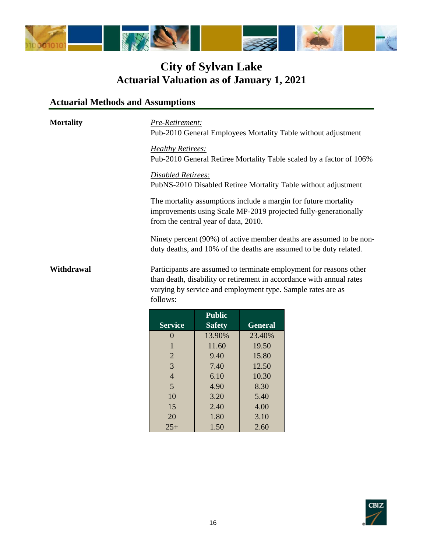

## **Actuarial Methods and Assumptions**

| <b>Mortality</b><br>Withdrawal | Pre-Retirement:<br>Pub-2010 General Employees Mortality Table without adjustment<br><b>Healthy Retirees:</b><br>Pub-2010 General Retiree Mortality Table scaled by a factor of 106%<br>Disabled Retirees:<br>PubNS-2010 Disabled Retiree Mortality Table without adjustment<br>The mortality assumptions include a margin for future mortality<br>improvements using Scale MP-2019 projected fully-generationally<br>from the central year of data, 2010.<br>Ninety percent (90%) of active member deaths are assumed to be non-<br>duty deaths, and 10% of the deaths are assumed to be duty related. |               |                |  |  |  |
|--------------------------------|--------------------------------------------------------------------------------------------------------------------------------------------------------------------------------------------------------------------------------------------------------------------------------------------------------------------------------------------------------------------------------------------------------------------------------------------------------------------------------------------------------------------------------------------------------------------------------------------------------|---------------|----------------|--|--|--|
|                                | Participants are assumed to terminate employment for reasons other<br>than death, disability or retirement in accordance with annual rates<br>varying by service and employment type. Sample rates are as<br>follows:                                                                                                                                                                                                                                                                                                                                                                                  |               |                |  |  |  |
|                                |                                                                                                                                                                                                                                                                                                                                                                                                                                                                                                                                                                                                        | <b>Public</b> |                |  |  |  |
|                                | <b>Service</b>                                                                                                                                                                                                                                                                                                                                                                                                                                                                                                                                                                                         | <b>Safety</b> | <b>General</b> |  |  |  |
|                                | $\Omega$                                                                                                                                                                                                                                                                                                                                                                                                                                                                                                                                                                                               | 13.90%        | 23.40%         |  |  |  |
|                                |                                                                                                                                                                                                                                                                                                                                                                                                                                                                                                                                                                                                        | 11.60         | 19.50          |  |  |  |
|                                | $\mathbf{2}$                                                                                                                                                                                                                                                                                                                                                                                                                                                                                                                                                                                           | 9.40          | 15.80          |  |  |  |
|                                | 3                                                                                                                                                                                                                                                                                                                                                                                                                                                                                                                                                                                                      | 7.40          | 12.50          |  |  |  |
|                                | 4                                                                                                                                                                                                                                                                                                                                                                                                                                                                                                                                                                                                      | 6.10          | 10.30          |  |  |  |

5 4.90 8.30 10 3.20 5.40 15 2.40 4.00 20 1.80 3.10 25+ 1.50 2.60

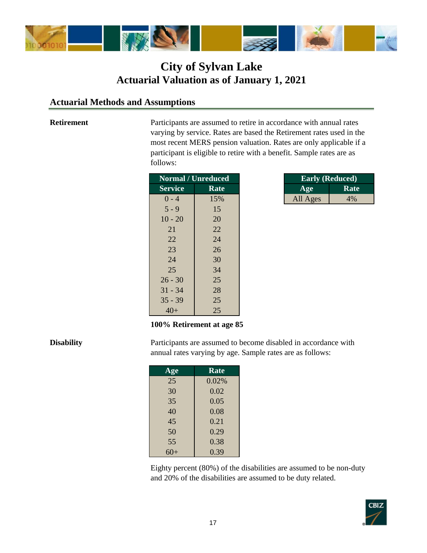

#### **Actuarial Methods and Assumptions**

#### **Retirement**

Participants are assumed to retire in accordance with annual rates varying by service. Rates are based the Retirement rates used in the most recent MERS pension valuation. Rates are only applicable if a participant is eligible to retire with a benefit. Sample rates are as follows:

|                | <b>Normal / Unreduced</b> |          | <b>Early (Reduced)</b> |
|----------------|---------------------------|----------|------------------------|
| <b>Service</b> | Rate                      | Age      | <b>Rate</b>            |
| $0 - 4$        | 15%                       | All Ages | 4%                     |
| $5 - 9$        | 15                        |          |                        |
| $10 - 20$      | 20                        |          |                        |
| 21             | 22                        |          |                        |
| 22             | 24                        |          |                        |
| 23             | 26                        |          |                        |
| 24             | 30                        |          |                        |
| 25             | 34                        |          |                        |
| $26 - 30$      | 25                        |          |                        |
| $31 - 34$      | 28                        |          |                        |
| $35 - 39$      | 25                        |          |                        |
| $40+$          | 25                        |          |                        |

| <b>Early (Reduced)</b> |      |  |  |  |
|------------------------|------|--|--|--|
| Age                    | Rate |  |  |  |
| All Ages               | 4%   |  |  |  |

#### **100% Retirement at age 85**

#### **Disability**

Participants are assumed to become disabled in accordance with annual rates varying by age. Sample rates are as follows:

| Age   | Rate  |
|-------|-------|
| 25    | 0.02% |
| 30    | 0.02  |
| 35    | 0.05  |
| 40    | 0.08  |
| 45    | 0.21  |
| 50    | 0.29  |
| 55    | 0.38  |
| $60+$ | 0.39  |

Eighty percent (80%) of the disabilities are assumed to be non-duty and 20% of the disabilities are assumed to be duty related.

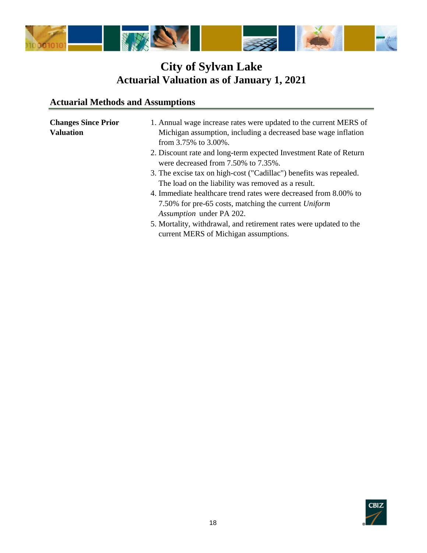

## **Actuarial Methods and Assumptions**

| <b>Changes Since Prior</b><br><b>Valuation</b> | 1. Annual wage increase rates were updated to the current MERS of<br>Michigan assumption, including a decreased base wage inflation<br>from $3.75\%$ to $3.00\%$ . |
|------------------------------------------------|--------------------------------------------------------------------------------------------------------------------------------------------------------------------|
|                                                | 2. Discount rate and long-term expected Investment Rate of Return<br>were decreased from 7.50% to 7.35%.                                                           |
|                                                | 3. The excise tax on high-cost ("Cadillac") benefits was repealed.                                                                                                 |
|                                                | The load on the liability was removed as a result.                                                                                                                 |
|                                                | 4. Immediate healthcare trend rates were decreased from 8.00% to                                                                                                   |
|                                                | 7.50% for pre-65 costs, matching the current Uniform                                                                                                               |
|                                                | Assumption under PA 202.                                                                                                                                           |
|                                                | 5. Mortality, withdrawal, and retirement rates were updated to the<br>current MERS of Michigan assumptions.                                                        |

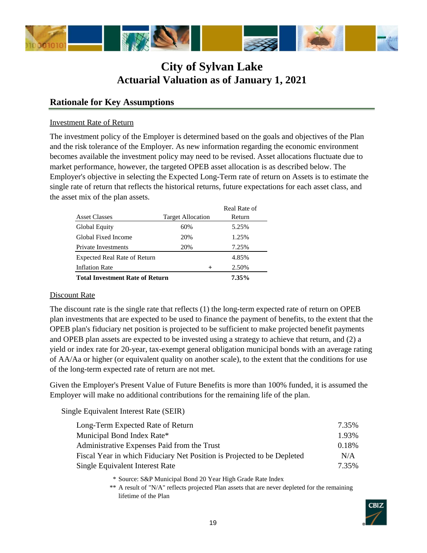

#### **Rationale for Key Assumptions**

#### Investment Rate of Return

The investment policy of the Employer is determined based on the goals and objectives of the Plan and the risk tolerance of the Employer. As new information regarding the economic environment becomes available the investment policy may need to be revised. Asset allocations fluctuate due to market performance, however, the targeted OPEB asset allocation is as described below. The Employer's objective in selecting the Expected Long-Term rate of return on Assets is to estimate the single rate of return that reflects the historical returns, future expectations for each asset class, and the asset mix of the plan assets.

|                                        |                          | Real Rate of |
|----------------------------------------|--------------------------|--------------|
| <b>Asset Classes</b>                   | <b>Target Allocation</b> | Return       |
| Global Equity                          | 60%                      | 5.25%        |
| Global Fixed Income                    | 20%                      | 1.25%        |
| Private Investments                    | 20%                      | 7.25%        |
| <b>Expected Real Rate of Return</b>    |                          | 4.85%        |
| <b>Inflation Rate</b>                  | $\pm$                    | 2.50%        |
| <b>Total Investment Rate of Return</b> |                          | 7.35%        |

#### Discount Rate

The discount rate is the single rate that reflects (1) the long-term expected rate of return on OPEB plan investments that are expected to be used to finance the payment of benefits, to the extent that the OPEB plan's fiduciary net position is projected to be sufficient to make projected benefit payments and OPEB plan assets are expected to be invested using a strategy to achieve that return, and (2) a yield or index rate for 20-year, tax-exempt general obligation municipal bonds with an average rating of AA/Aa or higher (or equivalent quality on another scale), to the extent that the conditions for use of the long-term expected rate of return are not met.

Given the Employer's Present Value of Future Benefits is more than 100% funded, it is assumed the Employer will make no additional contributions for the remaining life of the plan.

Single Equivalent Interest Rate (SEIR)

| Long-Term Expected Rate of Return                                       | 7.35% |
|-------------------------------------------------------------------------|-------|
| Municipal Bond Index Rate*                                              | 1.93% |
| Administrative Expenses Paid from the Trust                             | 0.18% |
| Fiscal Year in which Fiduciary Net Position is Projected to be Depleted | N/A   |
| Single Equivalent Interest Rate                                         | 7.35% |

\* Source: S&P Municipal Bond 20 Year High Grade Rate Index

\*\* A result of "N/A" reflects projected Plan assets that are never depleted for the remaining lifetime of the Plan

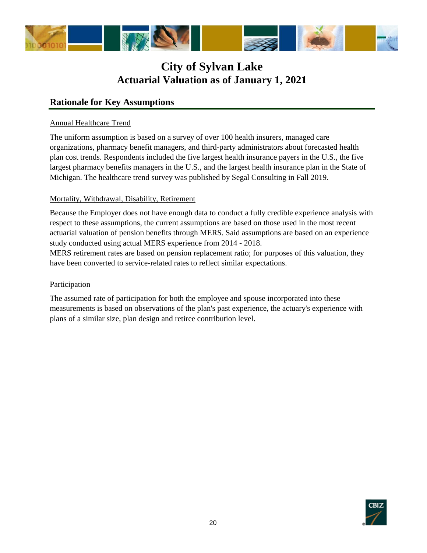

#### **Rationale for Key Assumptions**

#### Annual Healthcare Trend

The uniform assumption is based on a survey of over 100 health insurers, managed care organizations, pharmacy benefit managers, and third-party administrators about forecasted health plan cost trends. Respondents included the five largest health insurance payers in the U.S., the five largest pharmacy benefits managers in the U.S., and the largest health insurance plan in the State of Michigan. The healthcare trend survey was published by Segal Consulting in Fall 2019.

#### Mortality, Withdrawal, Disability, Retirement

Because the Employer does not have enough data to conduct a fully credible experience analysis with respect to these assumptions, the current assumptions are based on those used in the most recent actuarial valuation of pension benefits through MERS. Said assumptions are based on an experience study conducted using actual MERS experience from 2014 - 2018.

MERS retirement rates are based on pension replacement ratio; for purposes of this valuation, they have been converted to service-related rates to reflect similar expectations.

#### **Participation**

The assumed rate of participation for both the employee and spouse incorporated into these measurements is based on observations of the plan's past experience, the actuary's experience with plans of a similar size, plan design and retiree contribution level.

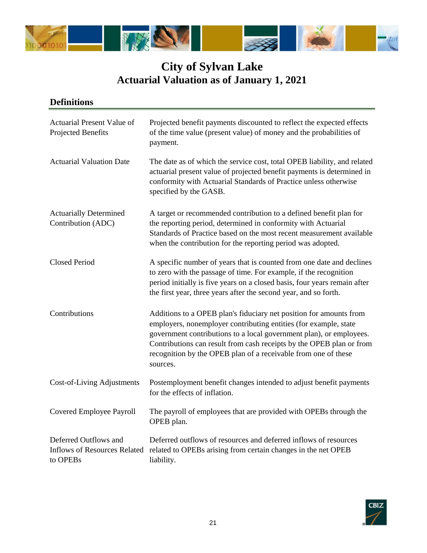

| Actuarial Present Value of<br>Projected Benefits                         | Projected benefit payments discounted to reflect the expected effects<br>of the time value (present value) of money and the probabilities of<br>payment.                                                                                                                                                                                                            |
|--------------------------------------------------------------------------|---------------------------------------------------------------------------------------------------------------------------------------------------------------------------------------------------------------------------------------------------------------------------------------------------------------------------------------------------------------------|
| <b>Actuarial Valuation Date</b>                                          | The date as of which the service cost, total OPEB liability, and related<br>actuarial present value of projected benefit payments is determined in<br>conformity with Actuarial Standards of Practice unless otherwise<br>specified by the GASB.                                                                                                                    |
| <b>Actuarially Determined</b><br>Contribution (ADC)                      | A target or recommended contribution to a defined benefit plan for<br>the reporting period, determined in conformity with Actuarial<br>Standards of Practice based on the most recent measurement available<br>when the contribution for the reporting period was adopted.                                                                                          |
| <b>Closed Period</b>                                                     | A specific number of years that is counted from one date and declines<br>to zero with the passage of time. For example, if the recognition<br>period initially is five years on a closed basis, four years remain after<br>the first year, three years after the second year, and so forth.                                                                         |
| Contributions                                                            | Additions to a OPEB plan's fiduciary net position for amounts from<br>employers, nonemployer contributing entities (for example, state<br>government contributions to a local government plan), or employees.<br>Contributions can result from cash receipts by the OPEB plan or from<br>recognition by the OPEB plan of a receivable from one of these<br>sources. |
| Cost-of-Living Adjustments                                               | Postemployment benefit changes intended to adjust benefit payments<br>for the effects of inflation.                                                                                                                                                                                                                                                                 |
| <b>Covered Employee Payroll</b>                                          | The payroll of employees that are provided with OPEBs through the<br>OPEB plan.                                                                                                                                                                                                                                                                                     |
| Deferred Outflows and<br><b>Inflows of Resources Related</b><br>to OPEBs | Deferred outflows of resources and deferred inflows of resources<br>related to OPEBs arising from certain changes in the net OPEB<br>liability.                                                                                                                                                                                                                     |

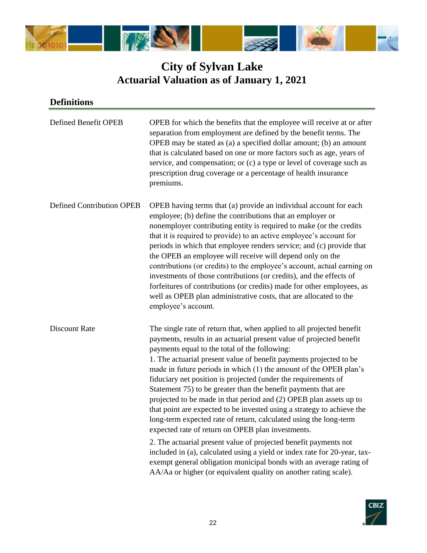

| Defined Benefit OPEB             | OPEB for which the benefits that the employee will receive at or after<br>separation from employment are defined by the benefit terms. The<br>OPEB may be stated as (a) a specified dollar amount; (b) an amount<br>that is calculated based on one or more factors such as age, years of<br>service, and compensation; or (c) a type or level of coverage such as<br>prescription drug coverage or a percentage of health insurance<br>premiums.                                                                                                                                                                                                                                                                                                                                                                                                                                                                                                                                                                                                   |
|----------------------------------|-----------------------------------------------------------------------------------------------------------------------------------------------------------------------------------------------------------------------------------------------------------------------------------------------------------------------------------------------------------------------------------------------------------------------------------------------------------------------------------------------------------------------------------------------------------------------------------------------------------------------------------------------------------------------------------------------------------------------------------------------------------------------------------------------------------------------------------------------------------------------------------------------------------------------------------------------------------------------------------------------------------------------------------------------------|
| <b>Defined Contribution OPEB</b> | OPEB having terms that (a) provide an individual account for each<br>employee; (b) define the contributions that an employer or<br>nonemployer contributing entity is required to make (or the credits<br>that it is required to provide) to an active employee's account for<br>periods in which that employee renders service; and (c) provide that<br>the OPEB an employee will receive will depend only on the<br>contributions (or credits) to the employee's account, actual earning on<br>investments of those contributions (or credits), and the effects of<br>forfeitures of contributions (or credits) made for other employees, as<br>well as OPEB plan administrative costs, that are allocated to the<br>employee's account.                                                                                                                                                                                                                                                                                                          |
| <b>Discount Rate</b>             | The single rate of return that, when applied to all projected benefit<br>payments, results in an actuarial present value of projected benefit<br>payments equal to the total of the following:<br>1. The actuarial present value of benefit payments projected to be<br>made in future periods in which (1) the amount of the OPEB plan's<br>fiduciary net position is projected (under the requirements of<br>Statement 75) to be greater than the benefit payments that are<br>projected to be made in that period and (2) OPEB plan assets up to<br>that point are expected to be invested using a strategy to achieve the<br>long-term expected rate of return, calculated using the long-term<br>expected rate of return on OPEB plan investments.<br>2. The actuarial present value of projected benefit payments not<br>included in (a), calculated using a yield or index rate for 20-year, tax-<br>exempt general obligation municipal bonds with an average rating of<br>AA/Aa or higher (or equivalent quality on another rating scale). |

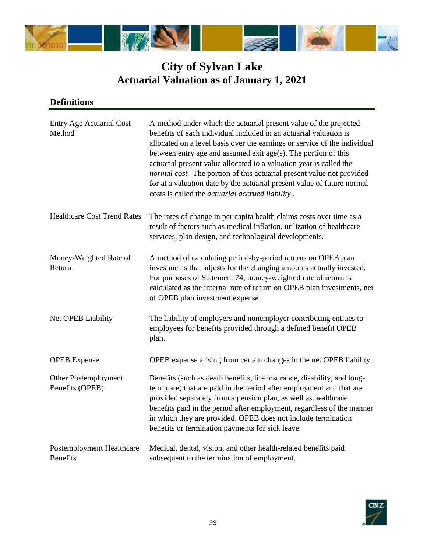

| <b>Entry Age Actuarial Cost</b><br>Method    | A method under which the actuarial present value of the projected<br>benefits of each individual included in an actuarial valuation is<br>allocated on a level basis over the earnings or service of the individual<br>between entry age and assumed exit age(s). The portion of this<br>actuarial present value allocated to a valuation year is called the<br>normal cost. The portion of this actuarial present value not provided<br>for at a valuation date by the actuarial present value of future normal<br>costs is called the <i>actuarial accrued liability</i> . |
|----------------------------------------------|------------------------------------------------------------------------------------------------------------------------------------------------------------------------------------------------------------------------------------------------------------------------------------------------------------------------------------------------------------------------------------------------------------------------------------------------------------------------------------------------------------------------------------------------------------------------------|
| <b>Healthcare Cost Trend Rates</b>           | The rates of change in per capita health claims costs over time as a<br>result of factors such as medical inflation, utilization of healthcare<br>services, plan design, and technological developments.                                                                                                                                                                                                                                                                                                                                                                     |
| Money-Weighted Rate of<br>Return             | A method of calculating period-by-period returns on OPEB plan<br>investments that adjusts for the changing amounts actually invested.<br>For purposes of Statement 74, money-weighted rate of return is<br>calculated as the internal rate of return on OPEB plan investments, net<br>of OPEB plan investment expense.                                                                                                                                                                                                                                                       |
| Net OPEB Liability                           | The liability of employers and nonemployer contributing entities to<br>employees for benefits provided through a defined benefit OPEB<br>plan.                                                                                                                                                                                                                                                                                                                                                                                                                               |
| <b>OPEB</b> Expense                          | OPEB expense arising from certain changes in the net OPEB liability.                                                                                                                                                                                                                                                                                                                                                                                                                                                                                                         |
| Other Postemployment<br>Benefits (OPEB)      | Benefits (such as death benefits, life insurance, disability, and long-<br>term care) that are paid in the period after employment and that are<br>provided separately from a pension plan, as well as healthcare<br>benefits paid in the period after employment, regardless of the manner<br>in which they are provided. OPEB does not include termination<br>benefits or termination payments for sick leave.                                                                                                                                                             |
| Postemployment Healthcare<br><b>Benefits</b> | Medical, dental, vision, and other health-related benefits paid<br>subsequent to the termination of employment.                                                                                                                                                                                                                                                                                                                                                                                                                                                              |